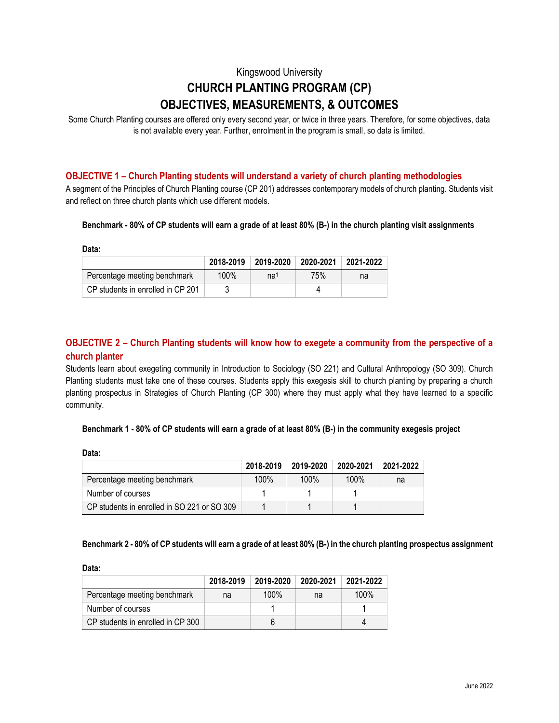# Kingswood University **CHURCH PLANTING PROGRAM (CP) OBJECTIVES, MEASUREMENTS, & OUTCOMES**

Some Church Planting courses are offered only every second year, or twice in three years. Therefore, for some objectives, data is not available every year. Further, enrolment in the program is small, so data is limited.

## **OBJECTIVE 1 – Church Planting students will understand a variety of church planting methodologies**

A segment of the Principles of Church Planting course (CP 201) addresses contemporary models of church planting. Students visit and reflect on three church plants which use different models.

#### **Benchmark - 80% of CP students will earn a grade of at least 80% (B-) in the church planting visit assignments**

**Data:**

|                                   | 2018-2019 | 2019-2020       | $2020 - 2021$ | 2021-2022 |
|-----------------------------------|-----------|-----------------|---------------|-----------|
| Percentage meeting benchmark      | 100%      | na <sup>1</sup> | <b>75%</b>    | na        |
| CP students in enrolled in CP 201 |           |                 |               |           |

## **OBJECTIVE 2 – Church Planting students will know how to exegete a community from the perspective of a church planter**

Students learn about exegeting community in Introduction to Sociology (SO 221) and Cultural Anthropology (SO 309). Church Planting students must take one of these courses. Students apply this exegesis skill to church planting by preparing a church planting prospectus in Strategies of Church Planting (CP 300) where they must apply what they have learned to a specific community.

#### **Benchmark 1 - 80% of CP students will earn a grade of at least 80% (B-) in the community exegesis project**

**Data:** 

|                                             | 2018-2019 | 2019-2020 | 2020-2021 | 2021-2022 |
|---------------------------------------------|-----------|-----------|-----------|-----------|
| Percentage meeting benchmark                | $100\%$   | $100\%$   | $100\%$   | na        |
| Number of courses                           |           |           |           |           |
| CP students in enrolled in SO 221 or SO 309 |           |           |           |           |

#### **Benchmark 2 - 80% of CP students will earn a grade of at least 80% (B-) in the church planting prospectus assignment**

**Data:** 

|                                   | 2018-2019 | 2019-2020 | 2020-2021 | 2021-2022 |
|-----------------------------------|-----------|-----------|-----------|-----------|
| Percentage meeting benchmark      | na        | 100%      | na        | 100%      |
| Number of courses                 |           |           |           |           |
| CP students in enrolled in CP 300 |           |           |           |           |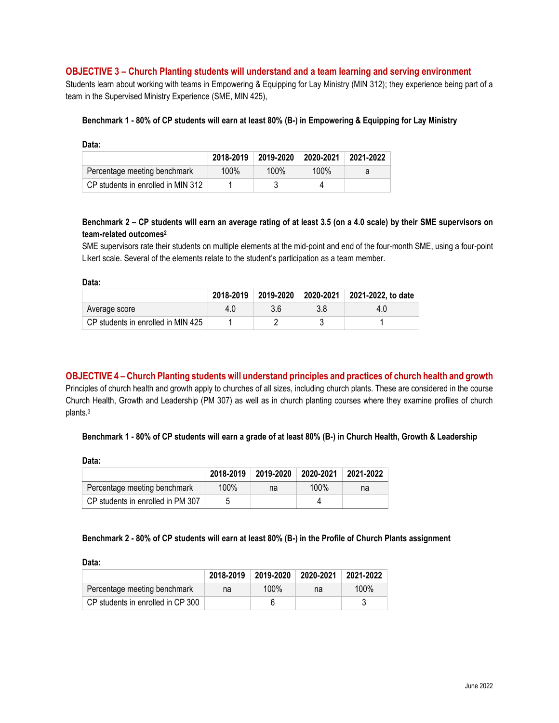#### **OBJECTIVE 3 – Church Planting students will understand and a team learning and serving environment**

Students learn about working with teams in Empowering & Equipping for Lay Ministry (MIN 312); they experience being part of a team in the Supervised Ministry Experience (SME, MIN 425),

#### **Benchmark 1 - 80% of CP students will earn at least 80% (B-) in Empowering & Equipping for Lay Ministry**

|                                    | 2018-2019 | 2019-2020 | 2020-2021 | 2021-2022 |
|------------------------------------|-----------|-----------|-----------|-----------|
| Percentage meeting benchmark       | 100%      | $100\%$   | 100%      |           |
| CP students in enrolled in MIN 312 |           |           |           |           |

#### **Benchmark 2 – CP students will earn an average rating of at least 3.5 (on a 4.0 scale) by their SME supervisors on team-related outcomes<sup>2</sup>**

SME supervisors rate their students on multiple elements at the mid-point and end of the four-month SME, using a four-point Likert scale. Several of the elements relate to the student's participation as a team member.

**Data:**

|                                    | 2018-2019 | 2019-2020 |     | 2020-2021   2021-2022, to date |
|------------------------------------|-----------|-----------|-----|--------------------------------|
| Average score                      | 4.0       | 3.6       | 3.8 | 4.0                            |
| CP students in enrolled in MIN 425 |           |           |     |                                |

**OBJECTIVE 4 – Church Planting students will understand principles and practices of church health and growth** Principles of church health and growth apply to churches of all sizes, including church plants. These are considered in the course Church Health, Growth and Leadership (PM 307) as well as in church planting courses where they examine profiles of church plants.<sup>3</sup>

#### **Benchmark 1 - 80% of CP students will earn a grade of at least 80% (B-) in Church Health, Growth & Leadership**

**Data:** 

|                                   | 2018-2019 | 2019-2020 | 2020-2021 | 2021-2022 |
|-----------------------------------|-----------|-----------|-----------|-----------|
| Percentage meeting benchmark      | 100%      | na        | 100%      | na        |
| CP students in enrolled in PM 307 |           |           |           |           |

#### **Benchmark 2 - 80% of CP students will earn at least 80% (B-) in the Profile of Church Plants assignment**

**Data:** 

|                                   | 2018-2019 | 2019-2020 | 2020-2021 | 2021-2022 |
|-----------------------------------|-----------|-----------|-----------|-----------|
| Percentage meeting benchmark      | na        | 100%      | na        | 100%      |
| CP students in enrolled in CP 300 |           |           |           |           |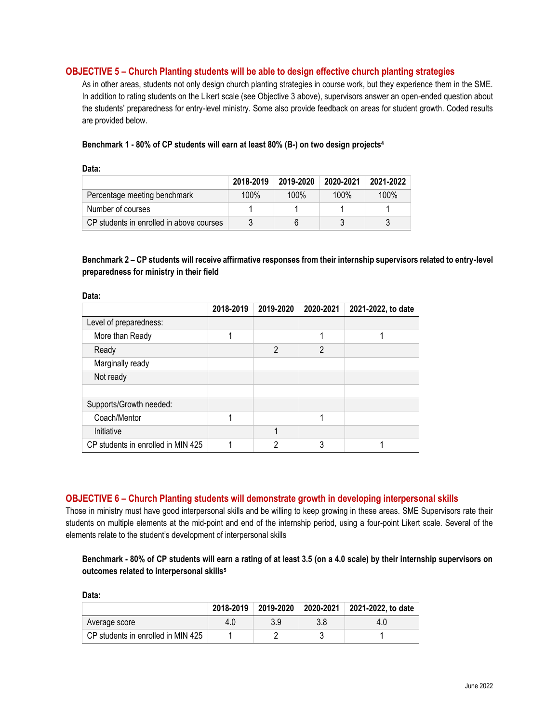### **OBJECTIVE 5 – Church Planting students will be able to design effective church planting strategies**

As in other areas, students not only design church planting strategies in course work, but they experience them in the SME. In addition to rating students on the Likert scale (see Objective 3 above), supervisors answer an open-ended question about the students' preparedness for entry-level ministry. Some also provide feedback on areas for student growth. Coded results are provided below.

#### **Benchmark 1 - 80% of CP students will earn at least 80% (B-) on two design projects<sup>4</sup>**

**Data:** 

| Data:                                    |           |           |           |           |  |  |
|------------------------------------------|-----------|-----------|-----------|-----------|--|--|
|                                          | 2018-2019 | 2019-2020 | 2020-2021 | 2021-2022 |  |  |
| Percentage meeting benchmark             | $100\%$   | 100%      | 100%      | $100\%$   |  |  |
| Number of courses                        |           |           |           |           |  |  |
| CP students in enrolled in above courses |           |           |           |           |  |  |

## **Benchmark 2 – CP students will receive affirmative responses from their internship supervisors related to entry-level preparedness for ministry in their field**

| Data.                              |           |                |                |                    |  |  |  |
|------------------------------------|-----------|----------------|----------------|--------------------|--|--|--|
|                                    | 2018-2019 | 2019-2020      | 2020-2021      | 2021-2022, to date |  |  |  |
| Level of preparedness:             |           |                |                |                    |  |  |  |
| More than Ready                    | 1         |                | 1              | и                  |  |  |  |
| Ready                              |           | $\mathfrak{p}$ | $\mathfrak{p}$ |                    |  |  |  |
| Marginally ready                   |           |                |                |                    |  |  |  |
| Not ready                          |           |                |                |                    |  |  |  |
|                                    |           |                |                |                    |  |  |  |
| Supports/Growth needed:            |           |                |                |                    |  |  |  |
| Coach/Mentor                       | 1         |                | 1              |                    |  |  |  |
| Initiative                         |           | 1              |                |                    |  |  |  |
| CP students in enrolled in MIN 425 |           | ∩              | 3              |                    |  |  |  |

#### **OBJECTIVE 6 – Church Planting students will demonstrate growth in developing interpersonal skills**

Those in ministry must have good interpersonal skills and be willing to keep growing in these areas. SME Supervisors rate their students on multiple elements at the mid-point and end of the internship period, using a four-point Likert scale. Several of the elements relate to the student's development of interpersonal skills

## **Benchmark - 80% of CP students will earn a rating of at least 3.5 (on a 4.0 scale) by their internship supervisors on outcomes related to interpersonal skills<sup>5</sup>**

| Data:                              |           |           |     |                              |  |  |
|------------------------------------|-----------|-----------|-----|------------------------------|--|--|
|                                    | 2018-2019 | 2019-2020 |     | 2020-2021 2021-2022, to date |  |  |
| Average score                      | 4.U       | 3.9       | 3.8 | 4.U                          |  |  |
| CP students in enrolled in MIN 425 |           |           |     |                              |  |  |